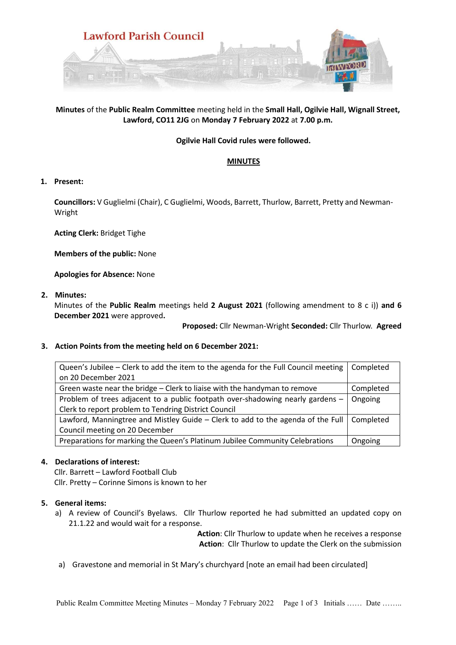

# **Minutes** of the **Public Realm Committee** meeting held in the **Small Hall, Ogilvie Hall, Wignall Street, Lawford, CO11 2JG** on **Monday 7 February 2022** at **7.00 p.m.**

## **Ogilvie Hall Covid rules were followed.**

## **MINUTES**

## **1. Present:**

**Councillors:** V Guglielmi (Chair), C Guglielmi, Woods, Barrett, Thurlow, Barrett, Pretty and Newman-Wright

**Acting Clerk:** Bridget Tighe

**Members of the public:** None

**Apologies for Absence:** None

**2. Minutes:** 

Minutes of the **Public Realm** meetings held **2 August 2021** (following amendment to 8 c i)) **and 6 December 2021** were approved**.**

**Proposed:** Cllr Newman-Wright **Seconded:** Cllr Thurlow. **Agreed** 

# **3. Action Points from the meeting held on 6 December 2021:**

| Queen's Jubilee – Clerk to add the item to the agenda for the Full Council meeting | Completed |
|------------------------------------------------------------------------------------|-----------|
| on 20 December 2021                                                                |           |
| Green waste near the bridge – Clerk to liaise with the handyman to remove          | Completed |
| Problem of trees adjacent to a public footpath over-shadowing nearly gardens -     | Ongoing   |
| Clerk to report problem to Tendring District Council                               |           |
| Lawford, Manningtree and Mistley Guide - Clerk to add to the agenda of the Full    | Completed |
| Council meeting on 20 December                                                     |           |
| Preparations for marking the Queen's Platinum Jubilee Community Celebrations       | Ongoing   |

## **4. Declarations of interest:**

Cllr. Barrett – Lawford Football Club Cllr. Pretty – Corinne Simons is known to her

## **5. General items:**

a) A review of Council's Byelaws. Cllr Thurlow reported he had submitted an updated copy on 21.1.22 and would wait for a response.

> **Action**: Cllr Thurlow to update when he receives a response **Action**: Cllr Thurlow to update the Clerk on the submission

a) Gravestone and memorial in St Mary's churchyard [note an email had been circulated]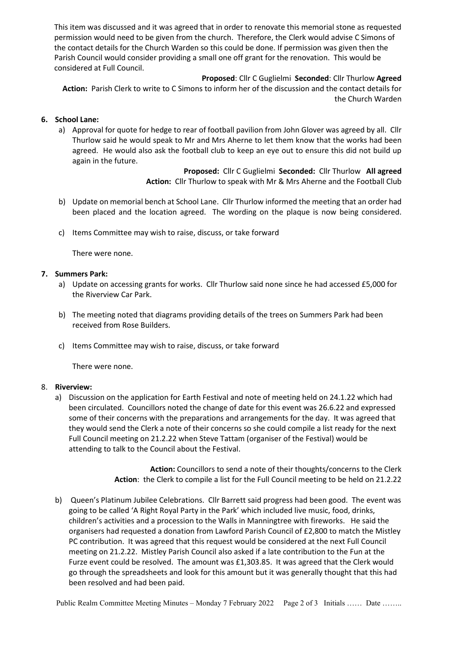This item was discussed and it was agreed that in order to renovate this memorial stone as requested permission would need to be given from the church. Therefore, the Clerk would advise C Simons of the contact details for the Church Warden so this could be done. If permission was given then the Parish Council would consider providing a small one off grant for the renovation. This would be considered at Full Council.

#### **Proposed**: Cllr C Guglielmi **Seconded**: Cllr Thurlow **Agreed**

**Action:** Parish Clerk to write to C Simons to inform her of the discussion and the contact details for the Church Warden

## **6. School Lane:**

a) Approval for quote for hedge to rear of football pavilion from John Glover was agreed by all. Cllr Thurlow said he would speak to Mr and Mrs Aherne to let them know that the works had been agreed. He would also ask the football club to keep an eye out to ensure this did not build up again in the future.

> **Proposed:** Cllr C Guglielmi **Seconded:** Cllr Thurlow **All agreed Action:** Cllr Thurlow to speak with Mr & Mrs Aherne and the Football Club

- b) Update on memorial bench at School Lane. Cllr Thurlow informed the meeting that an order had been placed and the location agreed. The wording on the plaque is now being considered.
- c) Items Committee may wish to raise, discuss, or take forward

There were none.

## **7. Summers Park:**

- a) Update on accessing grants for works. Cllr Thurlow said none since he had accessed £5,000 for the Riverview Car Park.
- b) The meeting noted that diagrams providing details of the trees on Summers Park had been received from Rose Builders.
- c) Items Committee may wish to raise, discuss, or take forward

There were none.

## 8. **Riverview:**

a) Discussion on the application for Earth Festival and note of meeting held on 24.1.22 which had been circulated. Councillors noted the change of date for this event was 26.6.22 and expressed some of their concerns with the preparations and arrangements for the day. It was agreed that they would send the Clerk a note of their concerns so she could compile a list ready for the next Full Council meeting on 21.2.22 when Steve Tattam (organiser of the Festival) would be attending to talk to the Council about the Festival.

> **Action:** Councillors to send a note of their thoughts/concerns to the Clerk **Action**: the Clerk to compile a list for the Full Council meeting to be held on 21.2.22

b) Queen's Platinum Jubilee Celebrations. Cllr Barrett said progress had been good. The event was going to be called 'A Right Royal Party in the Park' which included live music, food, drinks, children's activities and a procession to the Walls in Manningtree with fireworks. He said the organisers had requested a donation from Lawford Parish Council of £2,800 to match the Mistley PC contribution. It was agreed that this request would be considered at the next Full Council meeting on 21.2.22. Mistley Parish Council also asked if a late contribution to the Fun at the Furze event could be resolved. The amount was £1,303.85. It was agreed that the Clerk would go through the spreadsheets and look for this amount but it was generally thought that this had been resolved and had been paid.